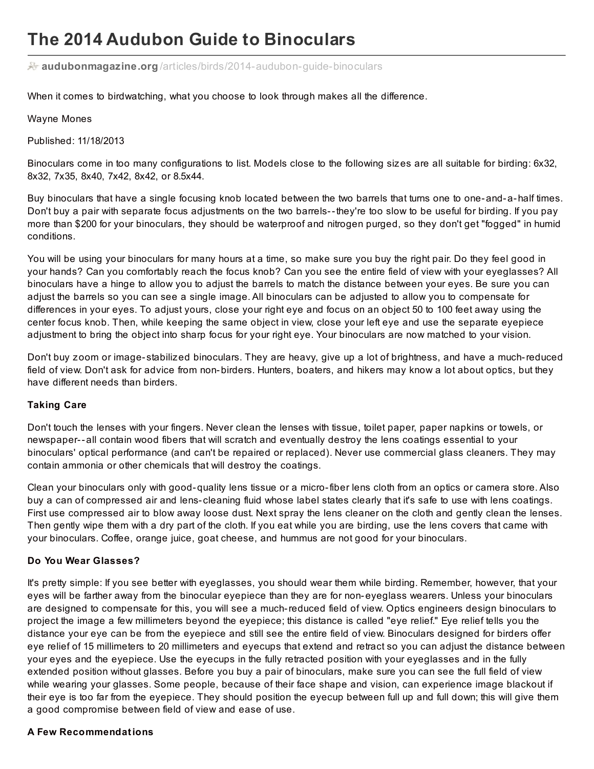# **The 2014 Audubon Guide to Binoculars**

**audubonmagazine.org** [/articles/birds/2014-audubon-guide-binoculars](http://www.audubonmagazine.org/articles/birds/2014-audubon-guide-binoculars?page=2)

When it comes to birdwatching, what you choose to look through makes all the difference.

#### Wayne Mones

Published: 11/18/2013

Binoculars come in too many configurations to list. Models close to the following sizes are all suitable for birding: 6x32, 8x32, 7x35, 8x40, 7x42, 8x42, or 8.5x44.

Buy binoculars that have a single focusing knob located between the two barrels that turns one to one-and-a-half times. Don't buy a pair with separate focus adjustments on the two barrels--they're too slow to be useful for birding. If you pay more than \$200 for your binoculars, they should be waterproof and nitrogen purged, so they don't get "fogged" in humid conditions.

You will be using your binoculars for many hours at a time, so make sure you buy the right pair. Do they feel good in your hands? Can you comfortably reach the focus knob? Can you see the entire field of view with your eyeglasses? All binoculars have a hinge to allow you to adjust the barrels to match the distance between your eyes. Be sure you can adjust the barrels so you can see a single image. All binoculars can be adjusted to allow you to compensate for differences in your eyes. To adjust yours, close your right eye and focus on an object 50 to 100 feet away using the center focus knob. Then, while keeping the same object in view, close your left eye and use the separate eyepiece adjustment to bring the object into sharp focus for your right eye. Your binoculars are now matched to your vision.

Don't buy zoom or image- stabilized binoculars. They are heavy, give up a lot of brightness, and have a much-reduced field of view. Don't ask for advice from non-birders. Hunters, boaters, and hikers may know a lot about optics, but they have different needs than birders.

#### **Taking Care**

Don't touch the lenses with your fingers. Never clean the lenses with tissue, toilet paper, paper napkins or towels, or newspaper--all contain wood fibers that will scratch and eventually destroy the lens coatings essential to your binoculars' optical performance (and can't be repaired or replaced). Never use commercial glass cleaners. They may contain ammonia or other chemicals that will destroy the coatings.

Clean your binoculars only with good-quality lens tissue or a micro-fiber lens cloth from an optics or camera store. Also buy a can of compressed air and lens- cleaning fluid whose label states clearly that it's safe to use with lens coatings. First use compressed air to blow away loose dust. Next spray the lens cleaner on the cloth and gently clean the lenses. Then gently wipe them with a dry part of the cloth. If you eat while you are birding, use the lens covers that came with your binoculars. Coffee, orange juice, goat cheese, and hummus are not good for your binoculars.

#### **Do You Wear Glasses?**

It's pretty simple: If you see better with eyeglasses, you should wear them while birding. Remember, however, that your eyes will be farther away from the binocular eyepiece than they are for non-eyeglass wearers. Unless your binoculars are designed to compensate for this, you will see a much-reduced field of view. Optics engineers design binoculars to project the image a few millimeters beyond the eyepiece; this distance is called "eye relief." Eye relief tells you the distance your eye can be from the eyepiece and still see the entire field of view. Binoculars designed for birders offer eye relief of 15 millimeters to 20 millimeters and eyecups that extend and retract so you can adjust the distance between your eyes and the eyepiece. Use the eyecups in the fully retracted position with your eyeglasses and in the fully extended position without glasses. Before you buy a pair of binoculars, make sure you can see the full field of view while wearing your glasses. Some people, because of their face shape and vision, can experience image blackout if their eye is too far from the eyepiece. They should position the eyecup between full up and full down; this will give them a good compromise between field of view and ease of use.

#### **A Few Recommendations**